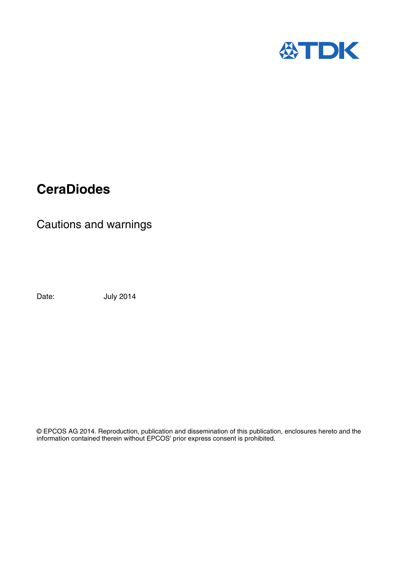

# **CeraDiodes**

Cautions and warnings

Date: **July 2014** 

© EPCOS AG 2014. Reproduction, publication and dissemination of this publication, enclosures hereto and the information contained therein without EPCOS' prior express consent is prohibited.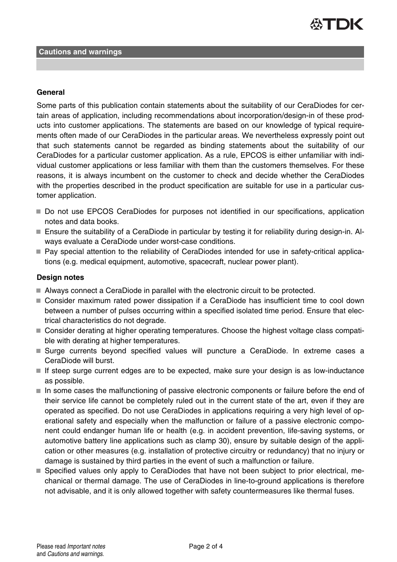

### **General**

Some parts of this publication contain statements about the suitability of our CeraDiodes for certain areas of application, including recommendations about incorporation/design-in of these products into customer applications. The statements are based on our knowledge of typical requirements often made of our CeraDiodes in the particular areas. We nevertheless expressly point out that such statements cannot be regarded as binding statements about the suitability of our CeraDiodes for a particular customer application. As a rule, EPCOS is either unfamiliar with individual customer applications or less familiar with them than the customers themselves. For these reasons, it is always incumbent on the customer to check and decide whether the CeraDiodes with the properties described in the product specification are suitable for use in a particular customer application.

- Do not use EPCOS CeraDiodes for purposes not identified in our specifications, application notes and data books.
- Ensure the suitability of a CeraDiode in particular by testing it for reliability during design-in. Always evaluate a CeraDiode under worst-case conditions.
- Pay special attention to the reliability of CeraDiodes intended for use in safety-critical applications (e.g. medical equipment, automotive, spacecraft, nuclear power plant).

# **Design notes**

- Always connect a CeraDiode in parallel with the electronic circuit to be protected.
- Consider maximum rated power dissipation if a CeraDiode has insufficient time to cool down between a number of pulses occurring within a specified isolated time period. Ensure that electrical characteristics do not degrade.
- Consider derating at higher operating temperatures. Choose the highest voltage class compatible with derating at higher temperatures.
- Surge currents beyond specified values will puncture a CeraDiode. In extreme cases a CeraDiode will burst.
- If steep surge current edges are to be expected, make sure your design is as low-inductance as possible.
- In some cases the malfunctioning of passive electronic components or failure before the end of their service life cannot be completely ruled out in the current state of the art, even if they are operated as specified. Do not use CeraDiodes in applications requiring a very high level of operational safety and especially when the malfunction or failure of a passive electronic component could endanger human life or health (e.g. in accident prevention, life-saving systems, or automotive battery line applications such as clamp 30), ensure by suitable design of the application or other measures (e.g. installation of protective circuitry or redundancy) that no injury or damage is sustained by third parties in the event of such a malfunction or failure.
- Specified values only apply to CeraDiodes that have not been subject to prior electrical, mechanical or thermal damage. The use of CeraDiodes in line-to-ground applications is therefore not advisable, and it is only allowed together with safety countermeasures like thermal fuses.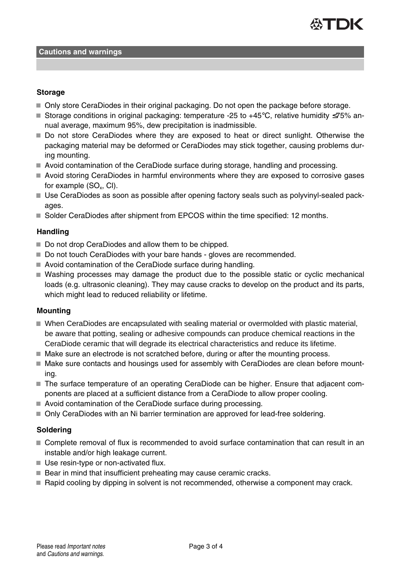

#### **Cautions and warnings**

#### **Storage**

- Only store CeraDiodes in their original packaging. Do not open the package before storage.
- Storage conditions in original packaging: temperature -25 to +45°C, relative humidity ≤75% annual average, maximum 95%, dew precipitation is inadmissible.
- Do not store CeraDiodes where they are exposed to heat or direct sunlight. Otherwise the packaging material may be deformed or CeraDiodes may stick together, causing problems during mounting.
- Avoid contamination of the CeraDiode surface during storage, handling and processing.
- Avoid storing CeraDiodes in harmful environments where they are exposed to corrosive gases for example (SO $_{\sf x}$ , CI).
- Use CeraDiodes as soon as possible after opening factory seals such as polyvinyl-sealed packages.
- Solder CeraDiodes after shipment from EPCOS within the time specified: 12 months.

# **Handling**

- Do not drop CeraDiodes and allow them to be chipped.
- Do not touch CeraDiodes with your bare hands gloves are recommended.
- Avoid contamination of the CeraDiode surface during handling.
- Washing processes may damage the product due to the possible static or cyclic mechanical loads (e.g. ultrasonic cleaning). They may cause cracks to develop on the product and its parts, which might lead to reduced reliability or lifetime.

#### **Mounting**

- When CeraDiodes are encapsulated with sealing material or overmolded with plastic material, be aware that potting, sealing or adhesive compounds can produce chemical reactions in the CeraDiode ceramic that will degrade its electrical characteristics and reduce its lifetime.
- Make sure an electrode is not scratched before, during or after the mounting process.
- Make sure contacts and housings used for assembly with CeraDiodes are clean before mounting.
- The surface temperature of an operating CeraDiode can be higher. Ensure that adjacent components are placed at a sufficient distance from a CeraDiode to allow proper cooling.
- Avoid contamination of the CeraDiode surface during processing.
- Only CeraDiodes with an Ni barrier termination are approved for lead-free soldering.

#### **Soldering**

- Complete removal of flux is recommended to avoid surface contamination that can result in an instable and/or high leakage current.
- Use resin-type or non-activated flux.
- Bear in mind that insufficient preheating may cause ceramic cracks.
- Rapid cooling by dipping in solvent is not recommended, otherwise a component may crack.